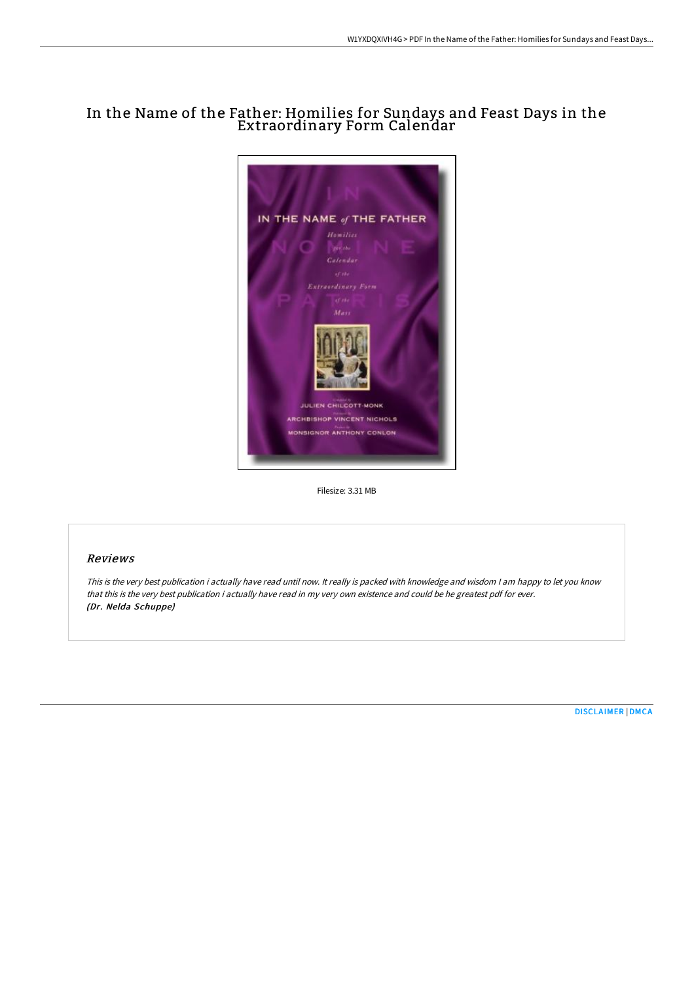# In the Name of the Father: Homilies for Sundays and Feast Days in the Extraordinary Form Calendar



Filesize: 3.31 MB

## Reviews

This is the very best publication i actually have read until now. It really is packed with knowledge and wisdom I am happy to let you know that this is the very best publication i actually have read in my very own existence and could be he greatest pdf for ever. (Dr. Nelda Schuppe)

[DISCLAIMER](http://bookera.tech/disclaimer.html) | [DMCA](http://bookera.tech/dmca.html)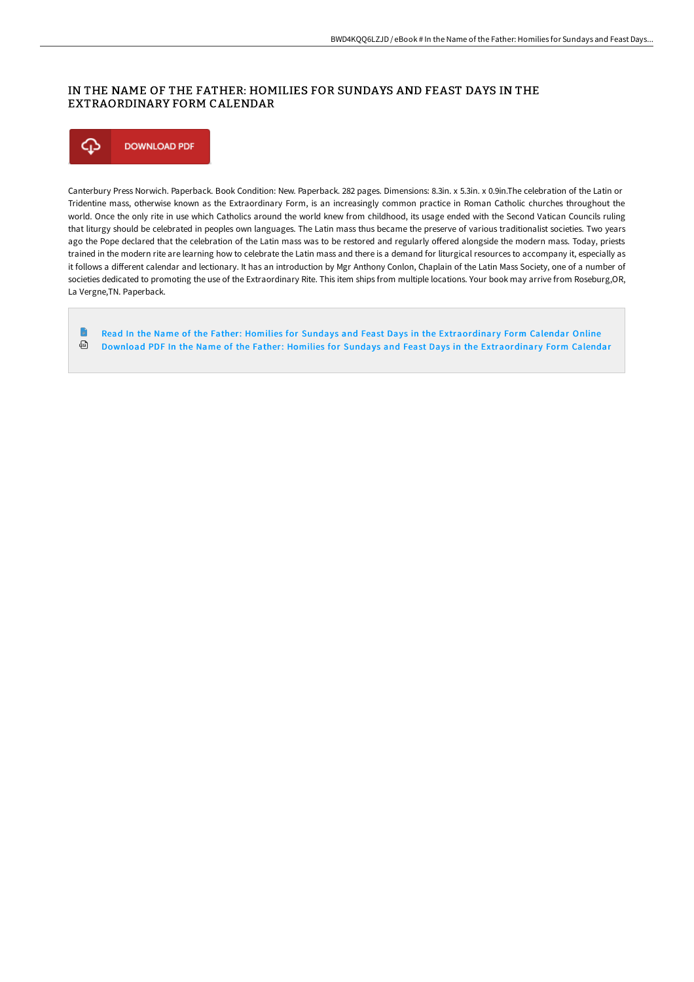## IN THE NAME OF THE FATHER: HOMILIES FOR SUNDAYS AND FEAST DAYS IN THE EXTRAORDINARY FORM CALENDAR



Canterbury Press Norwich. Paperback. Book Condition: New. Paperback. 282 pages. Dimensions: 8.3in. x 5.3in. x 0.9in.The celebration of the Latin or Tridentine mass, otherwise known as the Extraordinary Form, is an increasingly common practice in Roman Catholic churches throughout the world. Once the only rite in use which Catholics around the world knew from childhood, its usage ended with the Second Vatican Councils ruling that liturgy should be celebrated in peoples own languages. The Latin mass thus became the preserve of various traditionalist societies. Two years ago the Pope declared that the celebration of the Latin mass was to be restored and regularly offered alongside the modern mass. Today, priests trained in the modern rite are learning how to celebrate the Latin mass and there is a demand for liturgical resources to accompany it, especially as it follows a different calendar and lectionary. It has an introduction by Mgr Anthony Conlon, Chaplain of the Latin Mass Society, one of a number of societies dedicated to promoting the use of the Extraordinary Rite. This item ships from multiple locations. Your book may arrive from Roseburg,OR, La Vergne,TN. Paperback.

**D** Read In the Name of the Father: Homilies for Sundays and Feast Days in the [Extraordinar](http://bookera.tech/in-the-name-of-the-father-homilies-for-sundays-a.html) y Form Calendar Online ⊕ Download PDF In the Name of the Father: Homilies for Sundays and Feast Days in the [Extraordinar](http://bookera.tech/in-the-name-of-the-father-homilies-for-sundays-a.html)y Form Calendar